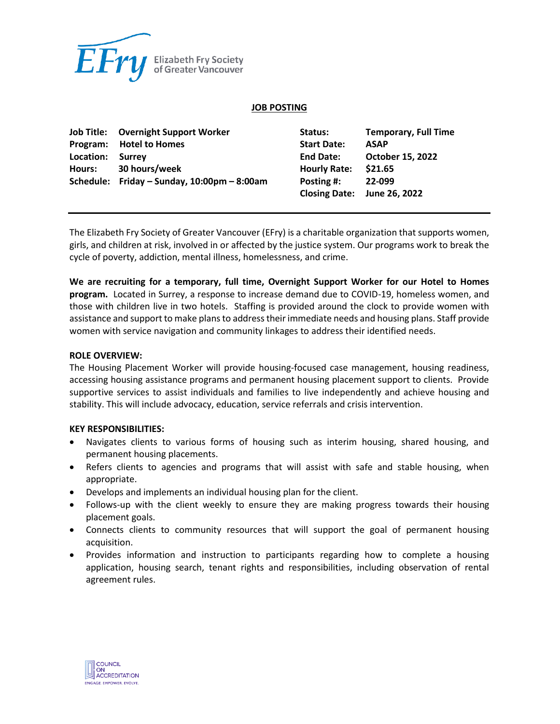

#### **JOB POSTING**

|           | <b>Job Title: Overnight Support Worker</b>  | Status:             | <b>Temporary, Full Time</b> |
|-----------|---------------------------------------------|---------------------|-----------------------------|
|           | Program: Hotel to Homes                     | <b>Start Date:</b>  | <b>ASAP</b>                 |
| Location: | Surrey                                      | <b>End Date:</b>    | <b>October 15, 2022</b>     |
| Hours:    | 30 hours/week                               | <b>Hourly Rate:</b> | \$21.65                     |
|           | Schedule: Friday - Sunday, 10:00pm - 8:00am | Posting #:          | 22-099                      |
|           |                                             |                     | Closing Date: June 26, 2022 |

The Elizabeth Fry Society of Greater Vancouver (EFry) is a charitable organization that supports women, girls, and children at risk, involved in or affected by the justice system. Our programs work to break the cycle of poverty, addiction, mental illness, homelessness, and crime.

**We are recruiting for a temporary, full time, Overnight Support Worker for our Hotel to Homes program.** Located in Surrey, a response to increase demand due to COVID-19, homeless women, and those with children live in two hotels. Staffing is provided around the clock to provide women with assistance and support to make plans to address their immediate needs and housing plans. Staff provide women with service navigation and community linkages to address their identified needs.

#### **ROLE OVERVIEW:**

The Housing Placement Worker will provide housing-focused case management, housing readiness, accessing housing assistance programs and permanent housing placement support to clients. Provide supportive services to assist individuals and families to live independently and achieve housing and stability. This will include advocacy, education, service referrals and crisis intervention.

#### **KEY RESPONSIBILITIES:**

- Navigates clients to various forms of housing such as interim housing, shared housing, and permanent housing placements.
- Refers clients to agencies and programs that will assist with safe and stable housing, when appropriate.
- Develops and implements an individual housing plan for the client.
- Follows-up with the client weekly to ensure they are making progress towards their housing placement goals.
- Connects clients to community resources that will support the goal of permanent housing acquisition.
- Provides information and instruction to participants regarding how to complete a housing application, housing search, tenant rights and responsibilities, including observation of rental agreement rules.